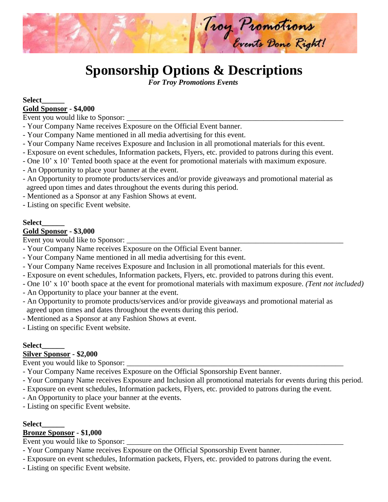

# **Sponsorship Options & Descriptions**

 *For Troy Promotions Events*

#### **Select\_\_\_\_\_\_ Gold Sponsor - \$4,000**

Event you would like to Sponsor:

- Your Company Name receives Exposure on the Official Event banner.
- Your Company Name mentioned in all media advertising for this event.
- Your Company Name receives Exposure and Inclusion in all promotional materials for this event.
- Exposure on event schedules, Information packets, Flyers, etc. provided to patrons during this event.
- One 10' x 10' Tented booth space at the event for promotional materials with maximum exposure.
- An Opportunity to place your banner at the event.
- An Opportunity to promote products/services and/or provide giveaways and promotional material as agreed upon times and dates throughout the events during this period.
- Mentioned as a Sponsor at any Fashion Shows at event.
- Listing on specific Event website.

#### **Select\_\_\_\_\_\_**

### **Gold Sponsor - \$3,000**

Event you would like to Sponsor: \_\_\_\_\_\_\_\_\_\_\_\_\_\_\_\_\_\_\_\_\_\_\_\_\_\_\_\_\_\_\_\_\_\_\_\_\_\_\_\_\_\_\_\_\_\_\_\_\_\_\_\_\_\_\_\_\_

- Your Company Name receives Exposure on the Official Event banner.
- Your Company Name mentioned in all media advertising for this event.
- Your Company Name receives Exposure and Inclusion in all promotional materials for this event.
- Exposure on event schedules, Information packets, Flyers, etc. provided to patrons during this event.
- One 10' x 10' booth space at the event for promotional materials with maximum exposure. *(Tent not included)*
- An Opportunity to place your banner at the event.
- An Opportunity to promote products/services and/or provide giveaways and promotional material as agreed upon times and dates throughout the events during this period.
- Mentioned as a Sponsor at any Fashion Shows at event.
- Listing on specific Event website.

### **Select\_\_\_\_\_\_**

### **Silver Sponsor - \$2,000**

Event you would like to Sponsor:

- Your Company Name receives Exposure on the Official Sponsorship Event banner.
- Your Company Name receives Exposure and Inclusion all promotional materials for events during this period.
- Exposure on event schedules, Information packets, Flyers, etc. provided to patrons during the event.
- An Opportunity to place your banner at the events.
- Listing on specific Event website.

#### **Select\_\_\_\_\_\_**

### **Bronze Sponsor - \$1,000**

Event you would like to Sponsor:

- Your Company Name receives Exposure on the Official Sponsorship Event banner.
- Exposure on event schedules, Information packets, Flyers, etc. provided to patrons during the event.
- Listing on specific Event website.